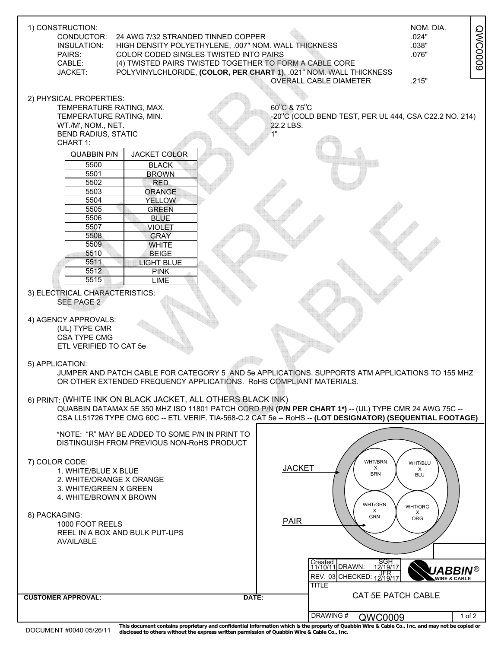| 1) CONSTRUCTION:<br>CONDUCTOR:<br>24 AWG 7/32 STRANDED TINNED COPPER<br>INSULATION:<br>HIGH DENSITY POLYETHYLENE, .007" NOM. WALL THICKNESS<br>PAIRS:<br>COLOR CODED SINGLES TWISTED INTO PAIRS<br>CABLE:<br>(4) TWISTED PAIRS TWISTED TOGETHER TO FORM A CABLE CORE<br>POLYVINYLCHLORIDE, (COLOR, PER CHART 1), .021" NOM. WALL THICKNESS<br>JACKET:                                                                                                                                                                                                                                                                                                                                                                                                                                     | NOM. DIA.<br><b>QWC0009</b><br>.024"<br>.038"<br>.076"<br><b>OVERALL CABLE DIAMETER</b><br>.215"                                                                                                                                                                                                               |
|-------------------------------------------------------------------------------------------------------------------------------------------------------------------------------------------------------------------------------------------------------------------------------------------------------------------------------------------------------------------------------------------------------------------------------------------------------------------------------------------------------------------------------------------------------------------------------------------------------------------------------------------------------------------------------------------------------------------------------------------------------------------------------------------|----------------------------------------------------------------------------------------------------------------------------------------------------------------------------------------------------------------------------------------------------------------------------------------------------------------|
| 2) PHYSICAL PROPERTIES:<br>TEMPERATURE RATING, MAX.<br>TEMPERATURE RATING, MIN.<br>WT./M', NOM., NET.<br><b>BEND RADIUS, STATIC</b><br>CHART 1:<br><b>JACKET COLOR</b><br><b>QUABBIN P/N</b><br>5500<br><b>BLACK</b><br>5501<br><b>BROWN</b><br>5502<br><b>RED</b><br>5503<br><b>ORANGE</b><br>5504<br><b>YELLOW</b><br>5505<br><b>GREEN</b><br>5506<br><b>BLUE</b><br>5507<br><b>VIOLET</b><br>5508<br><b>GRAY</b><br>5509<br><b>WHITE</b><br>5510<br><b>BEIGE</b><br>5511<br><b>LIGHT BLUE</b><br>5512<br><b>PINK</b><br>5515<br><b>LIME</b><br>3) ELECTRICAL CHARACTERISTICS:<br><b>SEE PAGE 2</b><br>4) AGENCY APPROVALS:<br>(UL) TYPE CMR<br><b>CSA TYPE CMG</b><br>ETL VERIFIED TO CAT 5e<br>5) APPLICATION:<br>OR OTHER EXTENDED FREQUENCY APPLICATIONS. RoHS COMPLIANT MATERIALS. | 60°C & 75°C<br>-20°C (COLD BEND TEST, PER UL 444, CSA C22.2 NO. 214)<br>22.2 LBS.<br>ั1"<br>JUMPER AND PATCH CABLE FOR CATEGORY 5 AND 5e APPLICATIONS. SUPPORTS ATM APPLICATIONS TO 155 MHZ                                                                                                                    |
| 6) PRINT: (WHITE INK ON BLACK JACKET, ALL OTHERS BLACK INK)                                                                                                                                                                                                                                                                                                                                                                                                                                                                                                                                                                                                                                                                                                                               | QUABBIN DATAMAX 5E 350 MHZ ISO 11801 PATCH CORD P/N (P/N PER CHART 1*) -- (UL) TYPE CMR 24 AWG 75C --<br>CSA LL51726 TYPE CMG 60C -- ETL VERIF. TIA-568-C.2 CAT 5e -- RoHS -- (LOT DESIGNATOR) (SEQUENTIAL FOOTAGE)                                                                                            |
| *NOTE: "R" MAY BE ADDED TO SOME P/N IN PRINT TO<br>DISTINGUISH FROM PREVIOUS NON-RoHS PRODUCT<br>7) COLOR CODE:<br>1. WHITE/BLUE X BLUE<br>2. WHITE/ORANGE X ORANGE<br>3. WHITE/GREEN X GREEN<br>4. WHITE/BROWN X BROWN<br>8) PACKAGING:<br>1000 FOOT REELS<br>REEL IN A BOX AND BULK PUT-UPS<br>AVAILABLE                                                                                                                                                                                                                                                                                                                                                                                                                                                                                | WHT/BRN<br>WHT/BLU<br><b>JACKET</b><br>X<br>Х<br><b>BRN</b><br><b>BLU</b><br>WHT/GRN<br>WHT/ORG<br>X<br>X<br>GRN<br>ORG<br><b>PAIR</b><br>Created<br>11/10/11 DRAWN:<br>SGH<br>12/19/17<br><b>UABBIN®</b><br>REV. 03 CHECKED: 12/19/17<br><b>WIRE &amp; CABLE</b><br><b>TITLE</b><br><b>CAT 5E PATCH CABLE</b> |
| <b>CUSTOMER APPROVAL:</b><br>DATE:                                                                                                                                                                                                                                                                                                                                                                                                                                                                                                                                                                                                                                                                                                                                                        | DRAWING#<br>QWC0009<br>1 of 2                                                                                                                                                                                                                                                                                  |

DOCUMENT #0040 05/26/11 This document contains proprietary and confidential information which is the property of Quabbin Wire & Cable Co., Inc. and may not be copied or<br>DOCUMENT #0040 05/26/11 disclosed to others without t